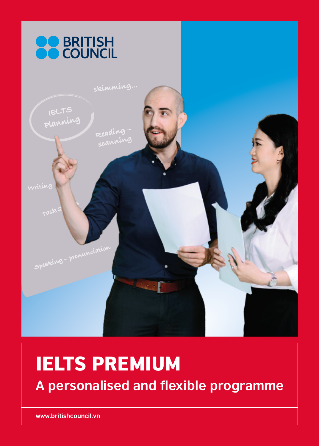

# IELTS PREMIUM

**A personalised and flexible programme**

**www.britishcouncil.vn**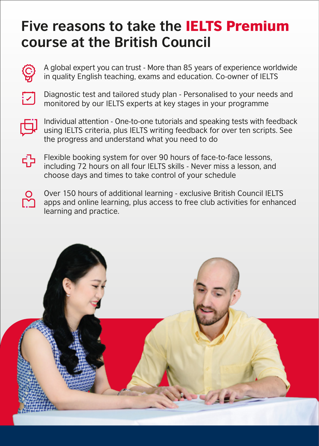### **Five reasons to take the** IELTS Premium **course at the British Council**



A global expert you can trust - More than 85 years of experience worldwide in quality English teaching, exams and education. Co-owner of IELTS



Diagnostic test and tailored study plan - Personalised to your needs and monitored by our IELTS experts at key stages in your programme



Individual attention - One-to-one tutorials and speaking tests with feedback using IELTS criteria, plus IELTS writing feedback for over ten scripts. See the progress and understand what you need to do



Flexible booking system for over 90 hours of face-to-face lessons, including 72 hours on all four IELTS skills - Never miss a lesson, and choose days and times to take control of your schedule



Over 150 hours of additional learning - exclusive British Council IELTS apps and online learning, plus access to free club activities for enhanced learning and practice.

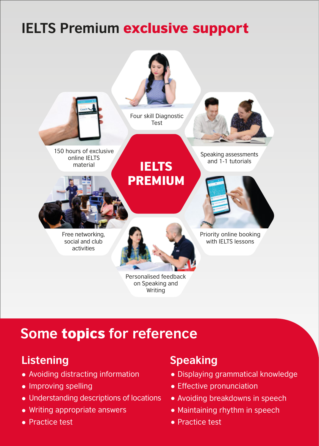## **IELTS Premium** exclusive support



### **Some** topics **for reference**

#### **Listening**

- Avoiding distracting information
- Improving spelling
- Understanding descriptions of locations
- Writing appropriate answers
- **Practice test**

#### **Speaking**

- Displaying grammatical knowledge
- Effective pronunciation
- Avoiding breakdowns in speech
- Maintaining rhythm in speech
- Practice test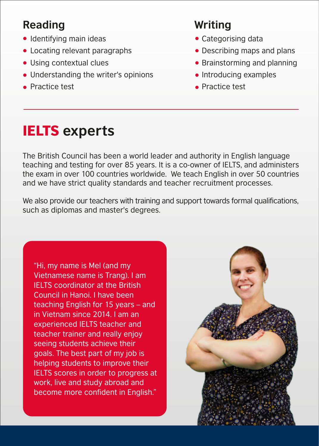#### **Reading**

- Identifying main ideas
- Locating relevant paragraphs
- Using contextual clues
- Understanding the writer's opinions
- **Practice test**

### **Writing**

- Categorising data
- Describing maps and plans
- Brainstorming and planning
- $\bullet$  Introducing examples
- **•** Practice test

## IELTS **experts**

The British Council has been a world leader and authority in English language teaching and testing for over 85 years. It is a co-owner of IELTS, and administers the exam in over 100 countries worldwide. We teach English in over 50 countries and we have strict quality standards and teacher recruitment processes.

We also provide our teachers with training and support towards formal qualifications, such as diplomas and master's degrees.

"Hi, my name is Mel (and my Vietnamese name is Trang). I am IELTS coordinator at the British Council in Hanoi. I have been teaching English for 15 years – and in Vietnam since 2014. I am an experienced IELTS teacher and teacher trainer and really enjoy seeing students achieve their goals. The best part of my job is helping students to improve their IELTS scores in order to progress at work, live and study abroad and become more confident in English."

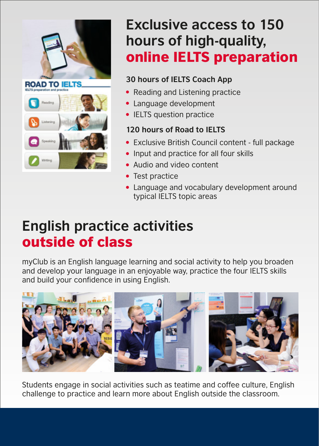

## **Exclusive access to 150 hours of high-quality,**  online IELTS preparation

#### **30 hours of IELTS Coach App**

- Reading and Listening practice
- Language development
- IELTS question practice

#### **120 hours of Road to IELTS**

- Exclusive British Council content full package
- Input and practice for all four skills
- Audio and video content
- Test practice
- Language and vocabulary development around typical IELTS topic areas

### **English practice activities** outside of class

myClub is an English language learning and social activity to help you broaden and develop your language in an enjoyable way, practice the four IELTS skills and build your confidence in using English.



Students engage in social activities such as teatime and coffee culture, English challenge to practice and learn more about English outside the classroom.